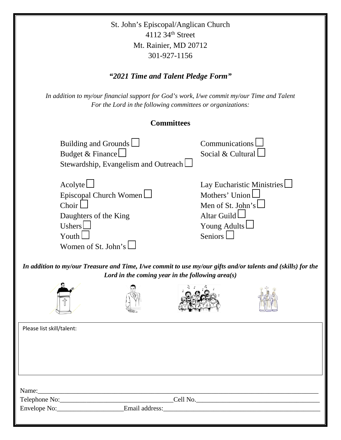St. John's Episcopal/Anglican Church 4112 34th Street Mt. Rainier, MD 20712 301-927-1156

# *"2021 Time and Talent Pledge Form"*

*In addition to my/our financial support for God's work, I/we commit my/our Time and Talent For the Lord in the following committees or organizations:*

## **Committees**

| Building and Grounds $\Box$<br>Budget & Finance                                                                                                                     | Stewardship, Evangelism and Outreach                                                                                 |  | Communications<br>Social & Cultural                                                                                                |  |  |  |  |  |
|---------------------------------------------------------------------------------------------------------------------------------------------------------------------|----------------------------------------------------------------------------------------------------------------------|--|------------------------------------------------------------------------------------------------------------------------------------|--|--|--|--|--|
| Acolyte<br>Choir $\lfloor$<br>Daughters of the King<br>Ushers $\lfloor$<br>Youth I<br>Women of St. John's                                                           | Episcopal Church Women                                                                                               |  | Lay Eucharistic Ministries $\Box$<br>Mothers' Union<br>Men of St. John's<br>Altar Guild $\Box$<br>Young Adults $\Box$<br>Seniors L |  |  |  |  |  |
| In addition to my/our Treasure and Time, I/we commit to use my/our gifts and/or talents and (skills) for the<br>Lord in the coming year in the following area $(s)$ |                                                                                                                      |  |                                                                                                                                    |  |  |  |  |  |
|                                                                                                                                                                     |                                                                                                                      |  |                                                                                                                                    |  |  |  |  |  |
| Please list skill/talent:                                                                                                                                           |                                                                                                                      |  |                                                                                                                                    |  |  |  |  |  |
|                                                                                                                                                                     |                                                                                                                      |  |                                                                                                                                    |  |  |  |  |  |
| Name:                                                                                                                                                               | <u> 1980 - Jan James James James James James James James James James James James James James James James James J</u> |  |                                                                                                                                    |  |  |  |  |  |
| Telephone No: $\qquad \qquad \qquad \qquad \text{Cell No.}$<br>Envelope No: ___________________________Email address:                                               |                                                                                                                      |  |                                                                                                                                    |  |  |  |  |  |
|                                                                                                                                                                     |                                                                                                                      |  |                                                                                                                                    |  |  |  |  |  |